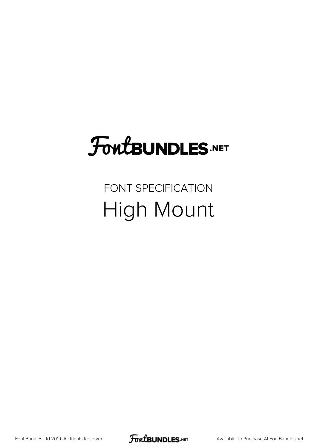## **FoutBUNDLES.NET**

#### FONT SPECIFICATION High Mount

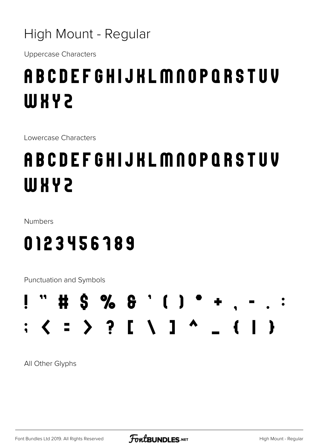#### High Mount - Regular

**Uppercase Characters** 

#### **ABCDEFGHIJKLMNOPQRSTUV WXY2**

Lowercase Characters

### **ABCDEFGHIJKLMNOPQRSTUV WXY2**

Numbers

#### 0123456189

Punctuation and Symbols



All Other Glyphs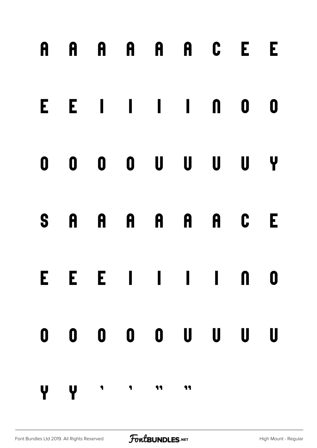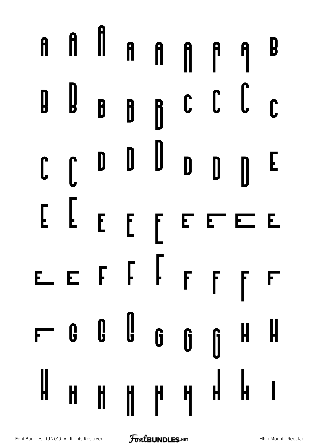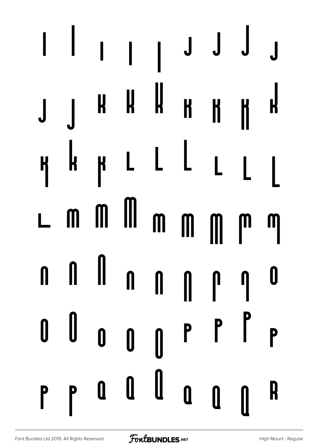#### $\overline{\phantom{a}}$  $\begin{array}{c} \hline \end{array}$  $\overline{\phantom{a}}$  $\bigcup$  J J  $\bigcup$  $\mathbf{r}$  $\boldsymbol{\mu}$  $\mathbf R$ K  $\boldsymbol{\mathsf{H}}$ K K  $\mathsf{L}% _{0}\left( \mathsf{L}_{1}\right) ^{T}\!\!\left( \mathsf{L}_{1}\right) ^{T}\!\!\left( \mathsf{L}_{2}\right) ^{T}\!\!\left( \mathsf{L}_{2}\right) ^{T}\!\!\left( \mathsf{L}_{1}\right) ^{T}\!\!\left( \mathsf{L}_{2}\right) ^{T}\!\!\left( \mathsf{L}_{2}\right) ^{T}\!\!\left( \mathsf{L}_{2}\right) ^{T}\!\!\left( \mathsf{L}_{1}\right) ^{T}\!\!\left( \mathsf{L}_{2}\right) ^{T}\!\!\left( \mathsf{L}_{2}\right) ^{T}\!\!\left( \mathsf{L}_{1}\right)$  $\mathbf{k}$  $\mathsf{L}$ K  $\mathsf{R}$  $\mathsf{L}$  $\overline{\phantom{a}}$   $\blacksquare$  $\mathbf{m}$ L  $\mathbf m$  $\mathbf{m}$  $\mathsf{m}$ M M  $\mathbf{\mathbf{u}}$  $\mathbf{I}$  $\mathbf{I}$ Ū  $\begin{matrix} \end{matrix}$  $\mathbf{r}$ N  $\mathbf 0$ U  $\begin{array}{c} \n \text{ } \\ \n \text{ } \\ \n \end{array}$  $\boldsymbol{0}$  $\mathsf{P}$ P 0  $\begin{matrix} \end{matrix}$ 0  $\mathbf 0$  $\mathbf{0}$  $\mathbf R$ P P 0  $\mathbf u$ N  $\pmb{0}$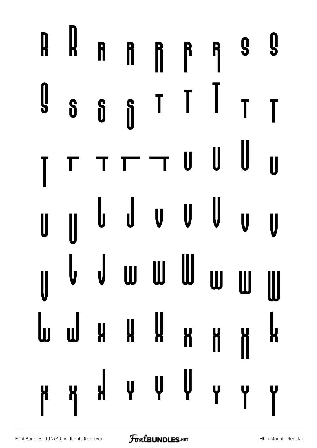